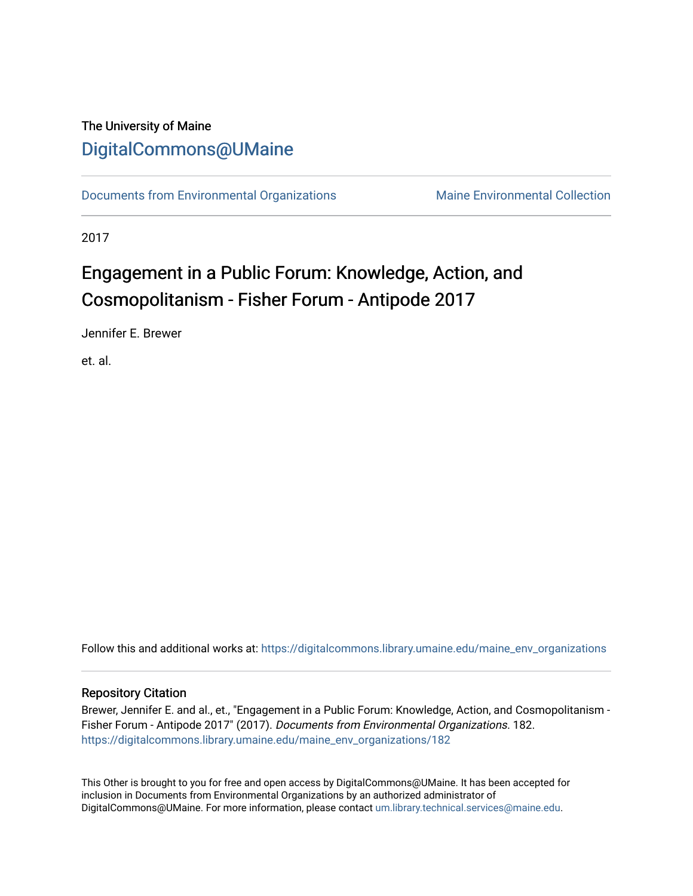# The University of Maine [DigitalCommons@UMaine](https://digitalcommons.library.umaine.edu/)

[Documents from Environmental Organizations](https://digitalcommons.library.umaine.edu/maine_env_organizations) Maine Environmental Collection

2017

# Engagement in a Public Forum: Knowledge, Action, and Cosmopolitanism - Fisher Forum - Antipode 2017

Jennifer E. Brewer

et. al.

Follow this and additional works at: [https://digitalcommons.library.umaine.edu/maine\\_env\\_organizations](https://digitalcommons.library.umaine.edu/maine_env_organizations?utm_source=digitalcommons.library.umaine.edu%2Fmaine_env_organizations%2F182&utm_medium=PDF&utm_campaign=PDFCoverPages)

#### Repository Citation

Brewer, Jennifer E. and al., et., "Engagement in a Public Forum: Knowledge, Action, and Cosmopolitanism - Fisher Forum - Antipode 2017" (2017). Documents from Environmental Organizations. 182. [https://digitalcommons.library.umaine.edu/maine\\_env\\_organizations/182](https://digitalcommons.library.umaine.edu/maine_env_organizations/182?utm_source=digitalcommons.library.umaine.edu%2Fmaine_env_organizations%2F182&utm_medium=PDF&utm_campaign=PDFCoverPages)

This Other is brought to you for free and open access by DigitalCommons@UMaine. It has been accepted for inclusion in Documents from Environmental Organizations by an authorized administrator of DigitalCommons@UMaine. For more information, please contact [um.library.technical.services@maine.edu](mailto:um.library.technical.services@maine.edu).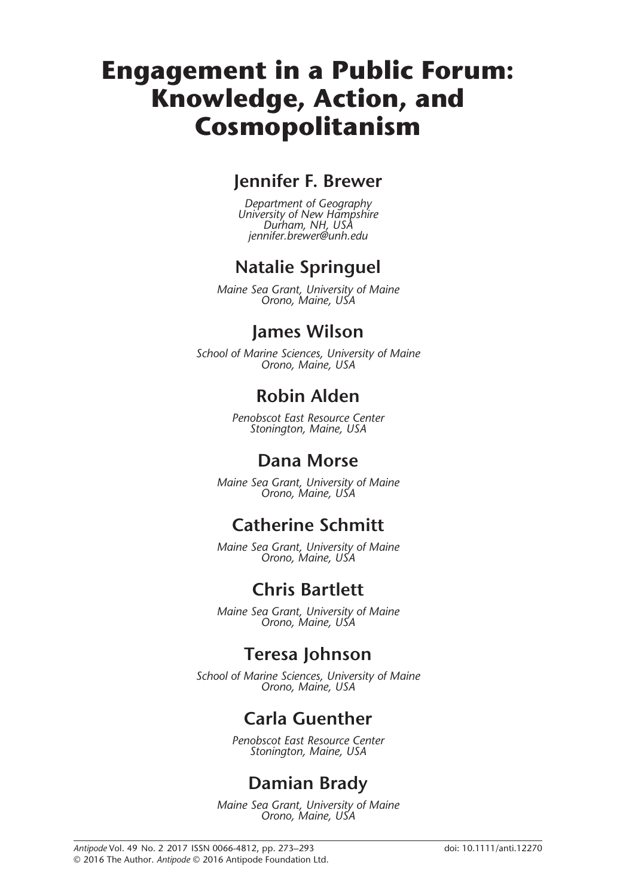# Engagement in a Public Forum: Knowledge, Action, and Cosmopolitanism

## Jennifer F. Brewer

Department of Geography University of New Hampshire Durham, NH, USA jennifer.brewer@unh.edu

# Natalie Springuel

Maine Sea Grant, University of Maine Orono, Maine, USA

## James Wilson

School of Marine Sciences, University of Maine Orono, Maine, USA

# Robin Alden

Penobscot East Resource Center Stonington, Maine, USA

# Dana Morse

Maine Sea Grant, University of Maine Orono, Maine, USA

# Catherine Schmitt

Maine Sea Grant, University of Maine Orono, Maine, USA

# Chris Bartlett

Maine Sea Grant, University of Maine Orono, Maine, USA

### Teresa Johnson

School of Marine Sciences, University of Maine Orono, Maine, USA

# Carla Guenther

Penobscot East Resource Center Stonington, Maine, USA

# Damian Brady

Maine Sea Grant, University of Maine Orono, Maine, USA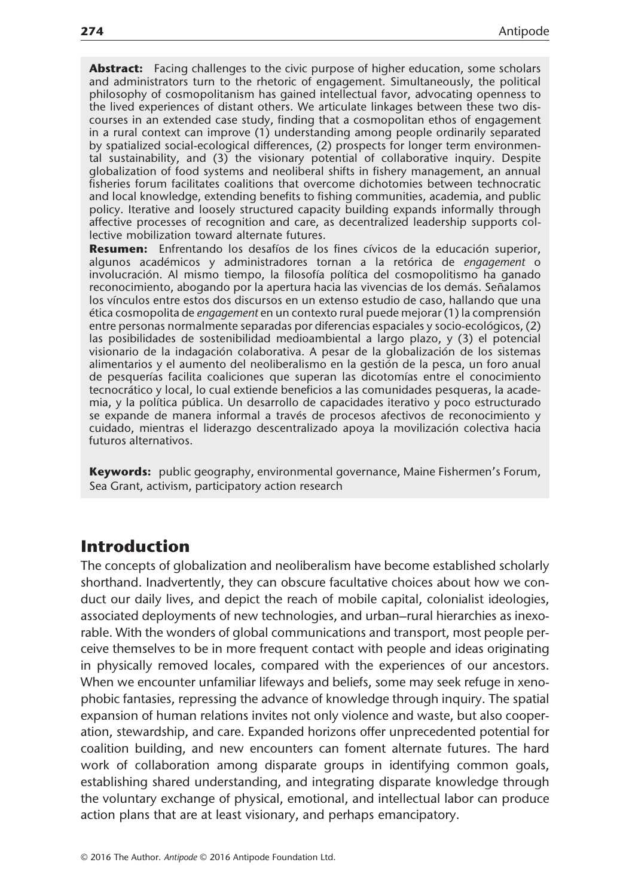Abstract: Facing challenges to the civic purpose of higher education, some scholars and administrators turn to the rhetoric of engagement. Simultaneously, the political philosophy of cosmopolitanism has gained intellectual favor, advocating openness to the lived experiences of distant others. We articulate linkages between these two discourses in an extended case study, finding that a cosmopolitan ethos of engagement in a rural context can improve (1) understanding among people ordinarily separated by spatialized social-ecological differences, (2) prospects for longer term environmental sustainability, and (3) the visionary potential of collaborative inquiry. Despite globalization of food systems and neoliberal shifts in fishery management, an annual fisheries forum facilitates coalitions that overcome dichotomies between technocratic and local knowledge, extending benefits to fishing communities, academia, and public policy. Iterative and loosely structured capacity building expands informally through affective processes of recognition and care, as decentralized leadership supports collective mobilization toward alternate futures.

Resumen: Enfrentando los desafíos de los fines cívicos de la educación superior, algunos académicos y administradores tornan a la retórica de engagement o involucración. Al mismo tiempo, la filosofía política del cosmopolitismo ha ganado reconocimiento, abogando por la apertura hacia las vivencias de los demás. Señalamos los vínculos entre estos dos discursos en un extenso estudio de caso, hallando que una ética cosmopolita de engagement en un contexto rural puede mejorar (1) la comprensión entre personas normalmente separadas por diferencias espaciales y socio-ecológicos, (2) las posibilidades de sostenibilidad medioambiental a largo plazo, y (3) el potencial visionario de la indagación colaborativa. A pesar de la globalización de los sistemas alimentarios y el aumento del neoliberalismo en la gestión de la pesca, un foro anual de pesquerías facilita coaliciones que superan las dicotomías entre el conocimiento tecnocrático y local, lo cual extiende beneficios a las comunidades pesqueras, la academia, y la política pública. Un desarrollo de capacidades iterativo y poco estructurado se expande de manera informal a través de procesos afectivos de reconocimiento y cuidado, mientras el liderazgo descentralizado apoya la movilización colectiva hacia futuros alternativos.

Keywords: public geography, environmental governance, Maine Fishermen's Forum, Sea Grant, activism, participatory action research

#### Introduction

The concepts of globalization and neoliberalism have become established scholarly shorthand. Inadvertently, they can obscure facultative choices about how we conduct our daily lives, and depict the reach of mobile capital, colonialist ideologies, associated deployments of new technologies, and urban–rural hierarchies as inexorable. With the wonders of global communications and transport, most people perceive themselves to be in more frequent contact with people and ideas originating in physically removed locales, compared with the experiences of our ancestors. When we encounter unfamiliar lifeways and beliefs, some may seek refuge in xenophobic fantasies, repressing the advance of knowledge through inquiry. The spatial expansion of human relations invites not only violence and waste, but also cooperation, stewardship, and care. Expanded horizons offer unprecedented potential for coalition building, and new encounters can foment alternate futures. The hard work of collaboration among disparate groups in identifying common goals, establishing shared understanding, and integrating disparate knowledge through the voluntary exchange of physical, emotional, and intellectual labor can produce action plans that are at least visionary, and perhaps emancipatory.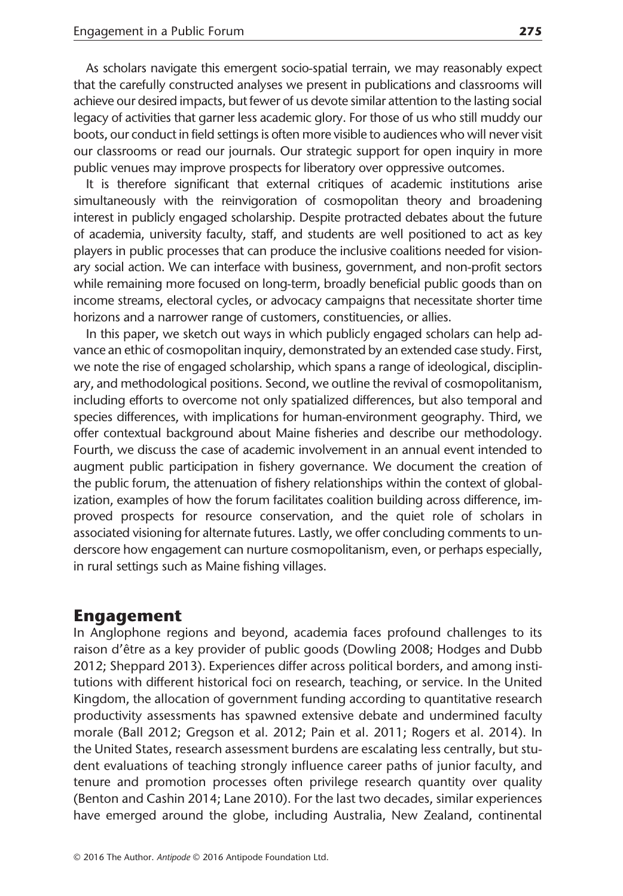As scholars navigate this emergent socio-spatial terrain, we may reasonably expect that the carefully constructed analyses we present in publications and classrooms will achieve our desired impacts, but fewer of us devote similar attention to the lasting social legacy of activities that garner less academic glory. For those of us who still muddy our boots, our conduct in field settings is often more visible to audiences who will never visit our classrooms or read our journals. Our strategic support for open inquiry in more public venues may improve prospects for liberatory over oppressive outcomes.

It is therefore significant that external critiques of academic institutions arise simultaneously with the reinvigoration of cosmopolitan theory and broadening interest in publicly engaged scholarship. Despite protracted debates about the future of academia, university faculty, staff, and students are well positioned to act as key players in public processes that can produce the inclusive coalitions needed for visionary social action. We can interface with business, government, and non-profit sectors while remaining more focused on long-term, broadly beneficial public goods than on income streams, electoral cycles, or advocacy campaigns that necessitate shorter time horizons and a narrower range of customers, constituencies, or allies.

In this paper, we sketch out ways in which publicly engaged scholars can help advance an ethic of cosmopolitan inquiry, demonstrated by an extended case study. First, we note the rise of engaged scholarship, which spans a range of ideological, disciplinary, and methodological positions. Second, we outline the revival of cosmopolitanism, including efforts to overcome not only spatialized differences, but also temporal and species differences, with implications for human-environment geography. Third, we offer contextual background about Maine fisheries and describe our methodology. Fourth, we discuss the case of academic involvement in an annual event intended to augment public participation in fishery governance. We document the creation of the public forum, the attenuation of fishery relationships within the context of globalization, examples of how the forum facilitates coalition building across difference, improved prospects for resource conservation, and the quiet role of scholars in associated visioning for alternate futures. Lastly, we offer concluding comments to underscore how engagement can nurture cosmopolitanism, even, or perhaps especially, in rural settings such as Maine fishing villages.

#### Engagement

In Anglophone regions and beyond, academia faces profound challenges to its raison d'être as a key provider of public goods (Dowling 2008; Hodges and Dubb 2012; Sheppard 2013). Experiences differ across political borders, and among institutions with different historical foci on research, teaching, or service. In the United Kingdom, the allocation of government funding according to quantitative research productivity assessments has spawned extensive debate and undermined faculty morale (Ball 2012; Gregson et al. 2012; Pain et al. 2011; Rogers et al. 2014). In the United States, research assessment burdens are escalating less centrally, but student evaluations of teaching strongly influence career paths of junior faculty, and tenure and promotion processes often privilege research quantity over quality (Benton and Cashin 2014; Lane 2010). For the last two decades, similar experiences have emerged around the globe, including Australia, New Zealand, continental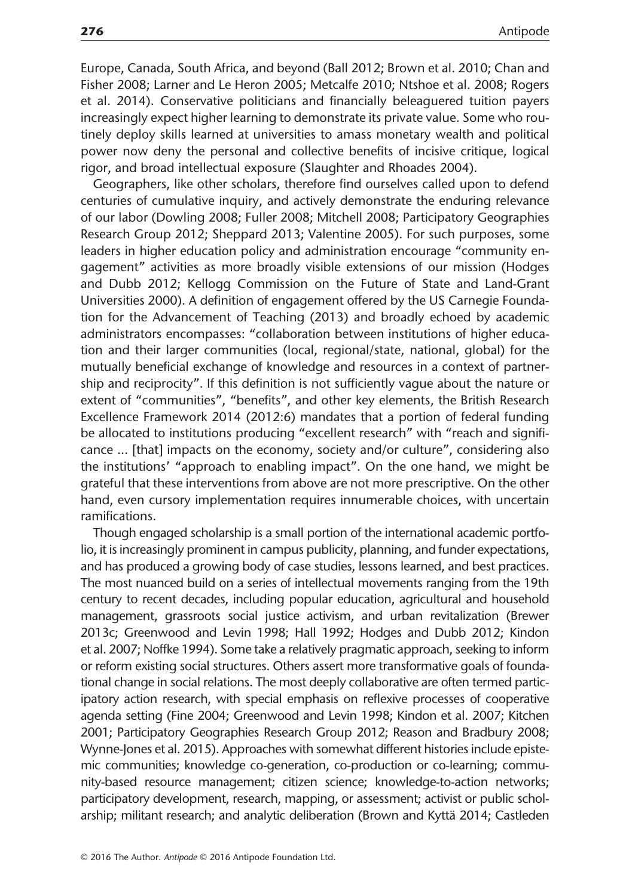Europe, Canada, South Africa, and beyond (Ball 2012; Brown et al. 2010; Chan and Fisher 2008; Larner and Le Heron 2005; Metcalfe 2010; Ntshoe et al. 2008; Rogers et al. 2014). Conservative politicians and financially beleaguered tuition payers increasingly expect higher learning to demonstrate its private value. Some who routinely deploy skills learned at universities to amass monetary wealth and political power now deny the personal and collective benefits of incisive critique, logical rigor, and broad intellectual exposure (Slaughter and Rhoades 2004).

Geographers, like other scholars, therefore find ourselves called upon to defend centuries of cumulative inquiry, and actively demonstrate the enduring relevance of our labor (Dowling 2008; Fuller 2008; Mitchell 2008; Participatory Geographies Research Group 2012; Sheppard 2013; Valentine 2005). For such purposes, some leaders in higher education policy and administration encourage "community engagement" activities as more broadly visible extensions of our mission (Hodges and Dubb 2012; Kellogg Commission on the Future of State and Land-Grant Universities 2000). A definition of engagement offered by the US Carnegie Foundation for the Advancement of Teaching (2013) and broadly echoed by academic administrators encompasses: "collaboration between institutions of higher education and their larger communities (local, regional/state, national, global) for the mutually beneficial exchange of knowledge and resources in a context of partnership and reciprocity". If this definition is not sufficiently vague about the nature or extent of "communities", "benefits", and other key elements, the British Research Excellence Framework 2014 (2012:6) mandates that a portion of federal funding be allocated to institutions producing "excellent research" with "reach and significance … [that] impacts on the economy, society and/or culture", considering also the institutions' "approach to enabling impact". On the one hand, we might be grateful that these interventions from above are not more prescriptive. On the other hand, even cursory implementation requires innumerable choices, with uncertain ramifications.

Though engaged scholarship is a small portion of the international academic portfolio, it is increasingly prominent in campus publicity, planning, and funder expectations, and has produced a growing body of case studies, lessons learned, and best practices. The most nuanced build on a series of intellectual movements ranging from the 19th century to recent decades, including popular education, agricultural and household management, grassroots social justice activism, and urban revitalization (Brewer 2013c; Greenwood and Levin 1998; Hall 1992; Hodges and Dubb 2012; Kindon et al. 2007; Noffke 1994). Some take a relatively pragmatic approach, seeking to inform or reform existing social structures. Others assert more transformative goals of foundational change in social relations. The most deeply collaborative are often termed participatory action research, with special emphasis on reflexive processes of cooperative agenda setting (Fine 2004; Greenwood and Levin 1998; Kindon et al. 2007; Kitchen 2001; Participatory Geographies Research Group 2012; Reason and Bradbury 2008; Wynne-Jones et al. 2015). Approaches with somewhat different histories include epistemic communities; knowledge co-generation, co-production or co-learning; community-based resource management; citizen science; knowledge-to-action networks; participatory development, research, mapping, or assessment; activist or public scholarship; militant research; and analytic deliberation (Brown and Kyttä 2014; Castleden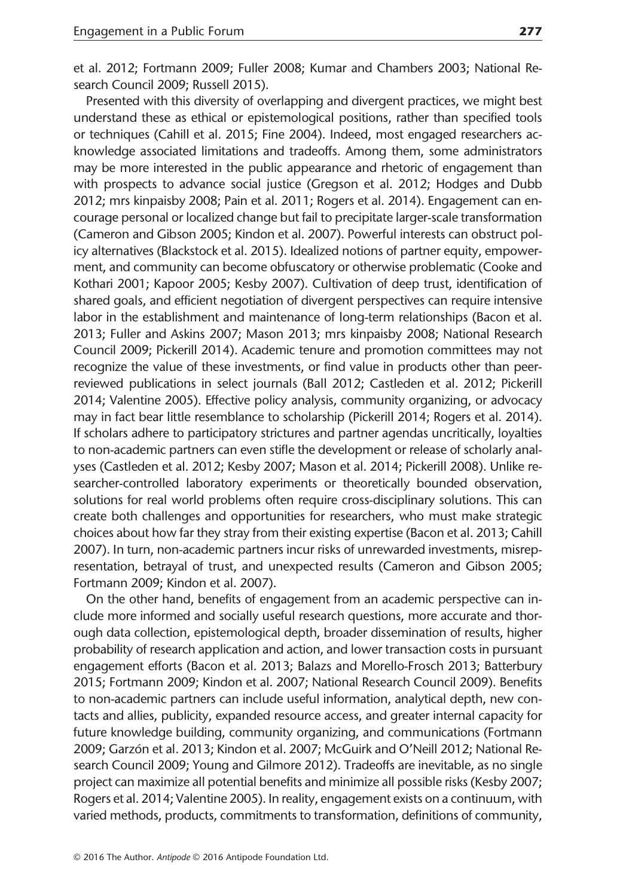et al. 2012; Fortmann 2009; Fuller 2008; Kumar and Chambers 2003; National Research Council 2009; Russell 2015).

Presented with this diversity of overlapping and divergent practices, we might best understand these as ethical or epistemological positions, rather than specified tools or techniques (Cahill et al. 2015; Fine 2004). Indeed, most engaged researchers acknowledge associated limitations and tradeoffs. Among them, some administrators may be more interested in the public appearance and rhetoric of engagement than with prospects to advance social justice (Gregson et al. 2012; Hodges and Dubb 2012; mrs kinpaisby 2008; Pain et al. 2011; Rogers et al. 2014). Engagement can encourage personal or localized change but fail to precipitate larger-scale transformation (Cameron and Gibson 2005; Kindon et al. 2007). Powerful interests can obstruct policy alternatives (Blackstock et al. 2015). Idealized notions of partner equity, empowerment, and community can become obfuscatory or otherwise problematic (Cooke and Kothari 2001; Kapoor 2005; Kesby 2007). Cultivation of deep trust, identification of shared goals, and efficient negotiation of divergent perspectives can require intensive labor in the establishment and maintenance of long-term relationships (Bacon et al. 2013; Fuller and Askins 2007; Mason 2013; mrs kinpaisby 2008; National Research Council 2009; Pickerill 2014). Academic tenure and promotion committees may not recognize the value of these investments, or find value in products other than peerreviewed publications in select journals (Ball 2012; Castleden et al. 2012; Pickerill 2014; Valentine 2005). Effective policy analysis, community organizing, or advocacy may in fact bear little resemblance to scholarship (Pickerill 2014; Rogers et al. 2014). If scholars adhere to participatory strictures and partner agendas uncritically, loyalties to non-academic partners can even stifle the development or release of scholarly analyses (Castleden et al. 2012; Kesby 2007; Mason et al. 2014; Pickerill 2008). Unlike researcher-controlled laboratory experiments or theoretically bounded observation, solutions for real world problems often require cross-disciplinary solutions. This can create both challenges and opportunities for researchers, who must make strategic choices about how far they stray from their existing expertise (Bacon et al. 2013; Cahill 2007). In turn, non-academic partners incur risks of unrewarded investments, misrepresentation, betrayal of trust, and unexpected results (Cameron and Gibson 2005; Fortmann 2009; Kindon et al. 2007).

On the other hand, benefits of engagement from an academic perspective can include more informed and socially useful research questions, more accurate and thorough data collection, epistemological depth, broader dissemination of results, higher probability of research application and action, and lower transaction costs in pursuant engagement efforts (Bacon et al. 2013; Balazs and Morello-Frosch 2013; Batterbury 2015; Fortmann 2009; Kindon et al. 2007; National Research Council 2009). Benefits to non-academic partners can include useful information, analytical depth, new contacts and allies, publicity, expanded resource access, and greater internal capacity for future knowledge building, community organizing, and communications (Fortmann 2009; Garzón et al. 2013; Kindon et al. 2007; McGuirk and O'Neill 2012; National Research Council 2009; Young and Gilmore 2012). Tradeoffs are inevitable, as no single project can maximize all potential benefits and minimize all possible risks (Kesby 2007; Rogers et al. 2014; Valentine 2005). In reality, engagement exists on a continuum, with varied methods, products, commitments to transformation, definitions of community,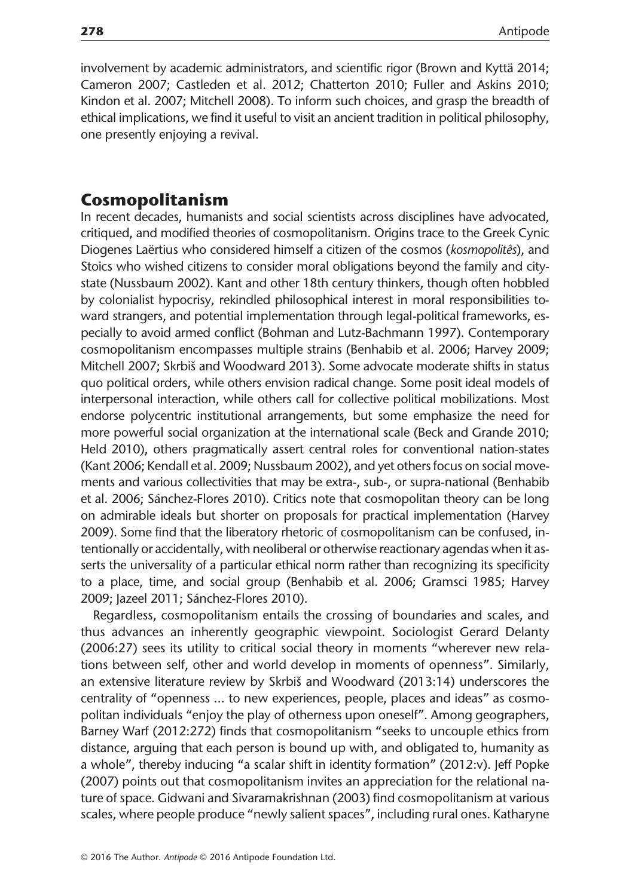involvement by academic administrators, and scientific rigor (Brown and Kyttä 2014; Cameron 2007; Castleden et al. 2012; Chatterton 2010; Fuller and Askins 2010; Kindon et al. 2007; Mitchell 2008). To inform such choices, and grasp the breadth of ethical implications, we find it useful to visit an ancient tradition in political philosophy, one presently enjoying a revival.

#### Cosmopolitanism

In recent decades, humanists and social scientists across disciplines have advocated, critiqued, and modified theories of cosmopolitanism. Origins trace to the Greek Cynic Diogenes Laërtius who considered himself a citizen of the cosmos (kosmopolitês), and Stoics who wished citizens to consider moral obligations beyond the family and citystate (Nussbaum 2002). Kant and other 18th century thinkers, though often hobbled by colonialist hypocrisy, rekindled philosophical interest in moral responsibilities toward strangers, and potential implementation through legal-political frameworks, especially to avoid armed conflict (Bohman and Lutz-Bachmann 1997). Contemporary cosmopolitanism encompasses multiple strains (Benhabib et al. 2006; Harvey 2009; Mitchell 2007; Skrbiš and Woodward 2013). Some advocate moderate shifts in status quo political orders, while others envision radical change. Some posit ideal models of interpersonal interaction, while others call for collective political mobilizations. Most endorse polycentric institutional arrangements, but some emphasize the need for more powerful social organization at the international scale (Beck and Grande 2010; Held 2010), others pragmatically assert central roles for conventional nation-states (Kant 2006; Kendall et al. 2009; Nussbaum 2002), and yet others focus on social movements and various collectivities that may be extra-, sub-, or supra-national (Benhabib et al. 2006; Sánchez-Flores 2010). Critics note that cosmopolitan theory can be long on admirable ideals but shorter on proposals for practical implementation (Harvey 2009). Some find that the liberatory rhetoric of cosmopolitanism can be confused, intentionally or accidentally, with neoliberal or otherwise reactionary agendas when it asserts the universality of a particular ethical norm rather than recognizing its specificity to a place, time, and social group (Benhabib et al. 2006; Gramsci 1985; Harvey 2009; Jazeel 2011; Sánchez-Flores 2010).

Regardless, cosmopolitanism entails the crossing of boundaries and scales, and thus advances an inherently geographic viewpoint. Sociologist Gerard Delanty (2006:27) sees its utility to critical social theory in moments "wherever new relations between self, other and world develop in moments of openness". Similarly, an extensive literature review by Skrbiš and Woodward (2013:14) underscores the centrality of "openness … to new experiences, people, places and ideas" as cosmopolitan individuals "enjoy the play of otherness upon oneself". Among geographers, Barney Warf (2012:272) finds that cosmopolitanism "seeks to uncouple ethics from distance, arguing that each person is bound up with, and obligated to, humanity as a whole", thereby inducing "a scalar shift in identity formation" (2012:v). Jeff Popke (2007) points out that cosmopolitanism invites an appreciation for the relational nature of space. Gidwani and Sivaramakrishnan (2003) find cosmopolitanism at various scales, where people produce "newly salient spaces", including rural ones. Katharyne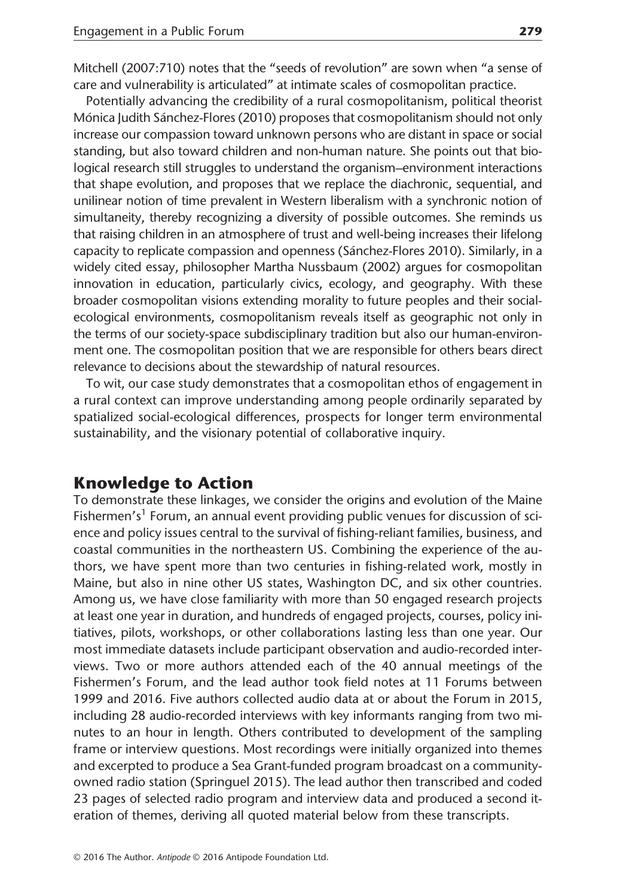Mitchell (2007:710) notes that the "seeds of revolution" are sown when "a sense of care and vulnerability is articulated" at intimate scales of cosmopolitan practice.

Potentially advancing the credibility of a rural cosmopolitanism, political theorist Mónica Judith Sánchez-Flores (2010) proposes that cosmopolitanism should not only increase our compassion toward unknown persons who are distant in space or social standing, but also toward children and non-human nature. She points out that biological research still struggles to understand the organism–environment interactions that shape evolution, and proposes that we replace the diachronic, sequential, and unilinear notion of time prevalent in Western liberalism with a synchronic notion of simultaneity, thereby recognizing a diversity of possible outcomes. She reminds us that raising children in an atmosphere of trust and well-being increases their lifelong capacity to replicate compassion and openness (Sánchez-Flores 2010). Similarly, in a widely cited essay, philosopher Martha Nussbaum (2002) argues for cosmopolitan innovation in education, particularly civics, ecology, and geography. With these broader cosmopolitan visions extending morality to future peoples and their socialecological environments, cosmopolitanism reveals itself as geographic not only in the terms of our society-space subdisciplinary tradition but also our human-environment one. The cosmopolitan position that we are responsible for others bears direct relevance to decisions about the stewardship of natural resources.

To wit, our case study demonstrates that a cosmopolitan ethos of engagement in a rural context can improve understanding among people ordinarily separated by spatialized social-ecological differences, prospects for longer term environmental sustainability, and the visionary potential of collaborative inquiry.

#### Knowledge to Action

To demonstrate these linkages, we consider the origins and evolution of the Maine Fishermen's<sup>1</sup> Forum, an annual event providing public venues for discussion of science and policy issues central to the survival of fishing-reliant families, business, and coastal communities in the northeastern US. Combining the experience of the authors, we have spent more than two centuries in fishing-related work, mostly in Maine, but also in nine other US states, Washington DC, and six other countries. Among us, we have close familiarity with more than 50 engaged research projects at least one year in duration, and hundreds of engaged projects, courses, policy initiatives, pilots, workshops, or other collaborations lasting less than one year. Our most immediate datasets include participant observation and audio-recorded interviews. Two or more authors attended each of the 40 annual meetings of the Fishermen's Forum, and the lead author took field notes at 11 Forums between 1999 and 2016. Five authors collected audio data at or about the Forum in 2015, including 28 audio-recorded interviews with key informants ranging from two minutes to an hour in length. Others contributed to development of the sampling frame or interview questions. Most recordings were initially organized into themes and excerpted to produce a Sea Grant-funded program broadcast on a communityowned radio station (Springuel 2015). The lead author then transcribed and coded 23 pages of selected radio program and interview data and produced a second iteration of themes, deriving all quoted material below from these transcripts.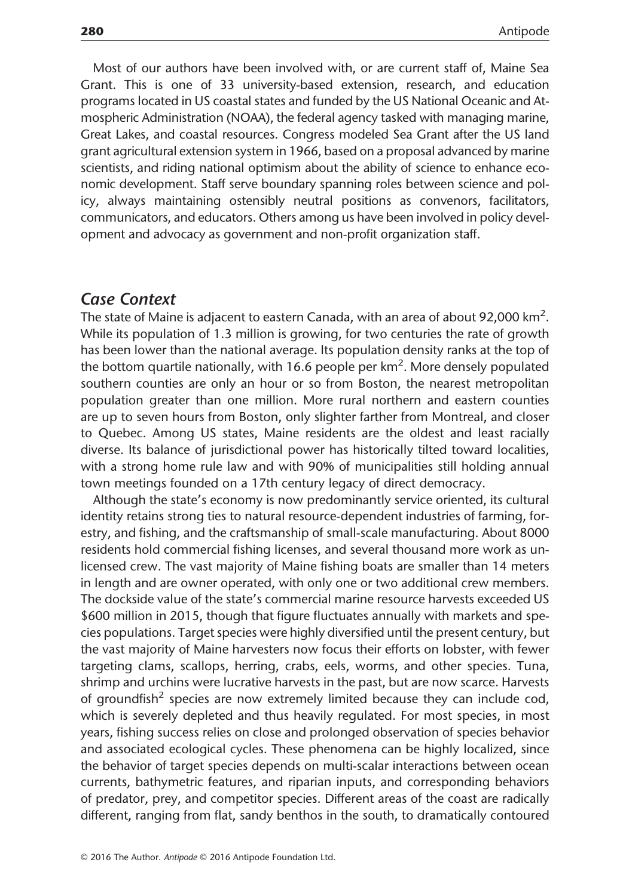Most of our authors have been involved with, or are current staff of, Maine Sea Grant. This is one of 33 university-based extension, research, and education programs located in US coastal states and funded by the US National Oceanic and Atmospheric Administration (NOAA), the federal agency tasked with managing marine, Great Lakes, and coastal resources. Congress modeled Sea Grant after the US land grant agricultural extension system in 1966, based on a proposal advanced by marine scientists, and riding national optimism about the ability of science to enhance economic development. Staff serve boundary spanning roles between science and policy, always maintaining ostensibly neutral positions as convenors, facilitators, communicators, and educators. Others among us have been involved in policy development and advocacy as government and non-profit organization staff.

#### Case Context

The state of Maine is adjacent to eastern Canada, with an area of about 92,000 km<sup>2</sup>. While its population of 1.3 million is growing, for two centuries the rate of growth has been lower than the national average. Its population density ranks at the top of the bottom quartile nationally, with 16.6 people per km<sup>2</sup>. More densely populated southern counties are only an hour or so from Boston, the nearest metropolitan population greater than one million. More rural northern and eastern counties are up to seven hours from Boston, only slighter farther from Montreal, and closer to Quebec. Among US states, Maine residents are the oldest and least racially diverse. Its balance of jurisdictional power has historically tilted toward localities, with a strong home rule law and with 90% of municipalities still holding annual town meetings founded on a 17th century legacy of direct democracy.

Although the state's economy is now predominantly service oriented, its cultural identity retains strong ties to natural resource-dependent industries of farming, forestry, and fishing, and the craftsmanship of small-scale manufacturing. About 8000 residents hold commercial fishing licenses, and several thousand more work as unlicensed crew. The vast majority of Maine fishing boats are smaller than 14 meters in length and are owner operated, with only one or two additional crew members. The dockside value of the state's commercial marine resource harvests exceeded US \$600 million in 2015, though that figure fluctuates annually with markets and species populations. Target species were highly diversified until the present century, but the vast majority of Maine harvesters now focus their efforts on lobster, with fewer targeting clams, scallops, herring, crabs, eels, worms, and other species. Tuna, shrimp and urchins were lucrative harvests in the past, but are now scarce. Harvests of groundfish<sup>2</sup> species are now extremely limited because they can include cod, which is severely depleted and thus heavily regulated. For most species, in most years, fishing success relies on close and prolonged observation of species behavior and associated ecological cycles. These phenomena can be highly localized, since the behavior of target species depends on multi-scalar interactions between ocean currents, bathymetric features, and riparian inputs, and corresponding behaviors of predator, prey, and competitor species. Different areas of the coast are radically different, ranging from flat, sandy benthos in the south, to dramatically contoured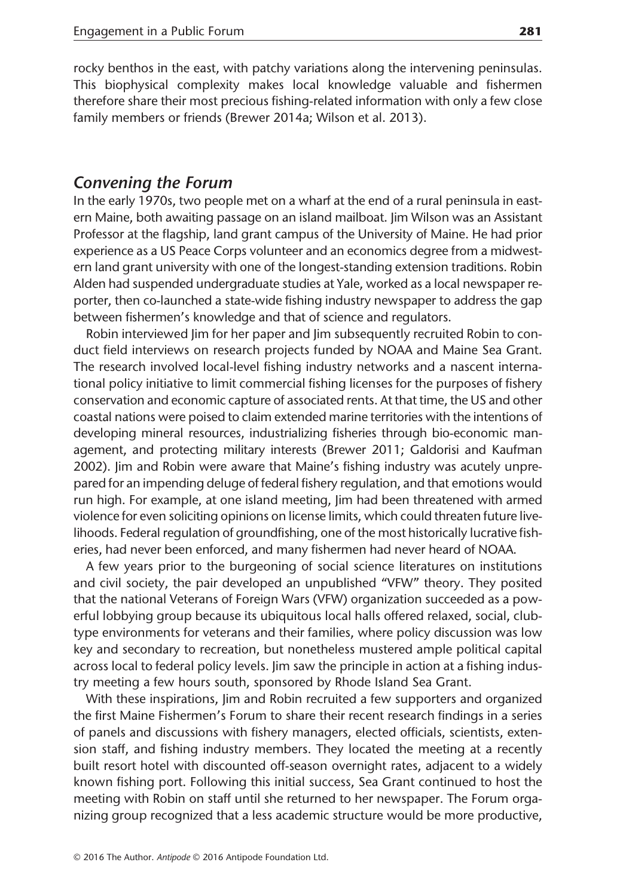rocky benthos in the east, with patchy variations along the intervening peninsulas. This biophysical complexity makes local knowledge valuable and fishermen therefore share their most precious fishing-related information with only a few close family members or friends (Brewer 2014a; Wilson et al. 2013).

#### Convening the Forum

In the early 1970s, two people met on a wharf at the end of a rural peninsula in eastern Maine, both awaiting passage on an island mailboat. Jim Wilson was an Assistant Professor at the flagship, land grant campus of the University of Maine. He had prior experience as a US Peace Corps volunteer and an economics degree from a midwestern land grant university with one of the longest-standing extension traditions. Robin Alden had suspended undergraduate studies at Yale, worked as a local newspaper reporter, then co-launched a state-wide fishing industry newspaper to address the gap between fishermen's knowledge and that of science and regulators.

Robin interviewed Jim for her paper and Jim subsequently recruited Robin to conduct field interviews on research projects funded by NOAA and Maine Sea Grant. The research involved local-level fishing industry networks and a nascent international policy initiative to limit commercial fishing licenses for the purposes of fishery conservation and economic capture of associated rents. At that time, the US and other coastal nations were poised to claim extended marine territories with the intentions of developing mineral resources, industrializing fisheries through bio-economic management, and protecting military interests (Brewer 2011; Galdorisi and Kaufman 2002). Jim and Robin were aware that Maine's fishing industry was acutely unprepared for an impending deluge of federal fishery regulation, and that emotions would run high. For example, at one island meeting, Jim had been threatened with armed violence for even soliciting opinions on license limits, which could threaten future livelihoods. Federal regulation of groundfishing, one of the most historically lucrative fisheries, had never been enforced, and many fishermen had never heard of NOAA.

A few years prior to the burgeoning of social science literatures on institutions and civil society, the pair developed an unpublished "VFW" theory. They posited that the national Veterans of Foreign Wars (VFW) organization succeeded as a powerful lobbying group because its ubiquitous local halls offered relaxed, social, clubtype environments for veterans and their families, where policy discussion was low key and secondary to recreation, but nonetheless mustered ample political capital across local to federal policy levels. Jim saw the principle in action at a fishing industry meeting a few hours south, sponsored by Rhode Island Sea Grant.

With these inspirations, Jim and Robin recruited a few supporters and organized the first Maine Fishermen's Forum to share their recent research findings in a series of panels and discussions with fishery managers, elected officials, scientists, extension staff, and fishing industry members. They located the meeting at a recently built resort hotel with discounted off-season overnight rates, adjacent to a widely known fishing port. Following this initial success, Sea Grant continued to host the meeting with Robin on staff until she returned to her newspaper. The Forum organizing group recognized that a less academic structure would be more productive,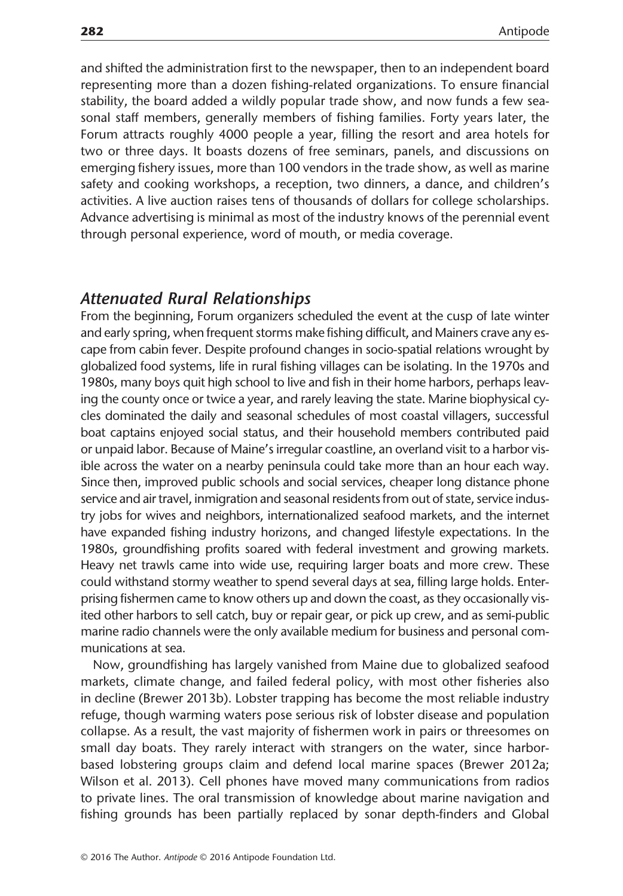and shifted the administration first to the newspaper, then to an independent board representing more than a dozen fishing-related organizations. To ensure financial stability, the board added a wildly popular trade show, and now funds a few seasonal staff members, generally members of fishing families. Forty years later, the Forum attracts roughly 4000 people a year, filling the resort and area hotels for two or three days. It boasts dozens of free seminars, panels, and discussions on emerging fishery issues, more than 100 vendors in the trade show, as well as marine safety and cooking workshops, a reception, two dinners, a dance, and children's activities. A live auction raises tens of thousands of dollars for college scholarships. Advance advertising is minimal as most of the industry knows of the perennial event through personal experience, word of mouth, or media coverage.

#### Attenuated Rural Relationships

From the beginning, Forum organizers scheduled the event at the cusp of late winter and early spring, when frequent storms make fishing difficult, and Mainers crave any escape from cabin fever. Despite profound changes in socio-spatial relations wrought by globalized food systems, life in rural fishing villages can be isolating. In the 1970s and 1980s, many boys quit high school to live and fish in their home harbors, perhaps leaving the county once or twice a year, and rarely leaving the state. Marine biophysical cycles dominated the daily and seasonal schedules of most coastal villagers, successful boat captains enjoyed social status, and their household members contributed paid or unpaid labor. Because of Maine's irregular coastline, an overland visit to a harbor visible across the water on a nearby peninsula could take more than an hour each way. Since then, improved public schools and social services, cheaper long distance phone service and air travel, inmigration and seasonal residents from out of state, service industry jobs for wives and neighbors, internationalized seafood markets, and the internet have expanded fishing industry horizons, and changed lifestyle expectations. In the 1980s, groundfishing profits soared with federal investment and growing markets. Heavy net trawls came into wide use, requiring larger boats and more crew. These could withstand stormy weather to spend several days at sea, filling large holds. Enterprising fishermen came to know others up and down the coast, as they occasionally visited other harbors to sell catch, buy or repair gear, or pick up crew, and as semi-public marine radio channels were the only available medium for business and personal communications at sea.

Now, groundfishing has largely vanished from Maine due to globalized seafood markets, climate change, and failed federal policy, with most other fisheries also in decline (Brewer 2013b). Lobster trapping has become the most reliable industry refuge, though warming waters pose serious risk of lobster disease and population collapse. As a result, the vast majority of fishermen work in pairs or threesomes on small day boats. They rarely interact with strangers on the water, since harborbased lobstering groups claim and defend local marine spaces (Brewer 2012a; Wilson et al. 2013). Cell phones have moved many communications from radios to private lines. The oral transmission of knowledge about marine navigation and fishing grounds has been partially replaced by sonar depth-finders and Global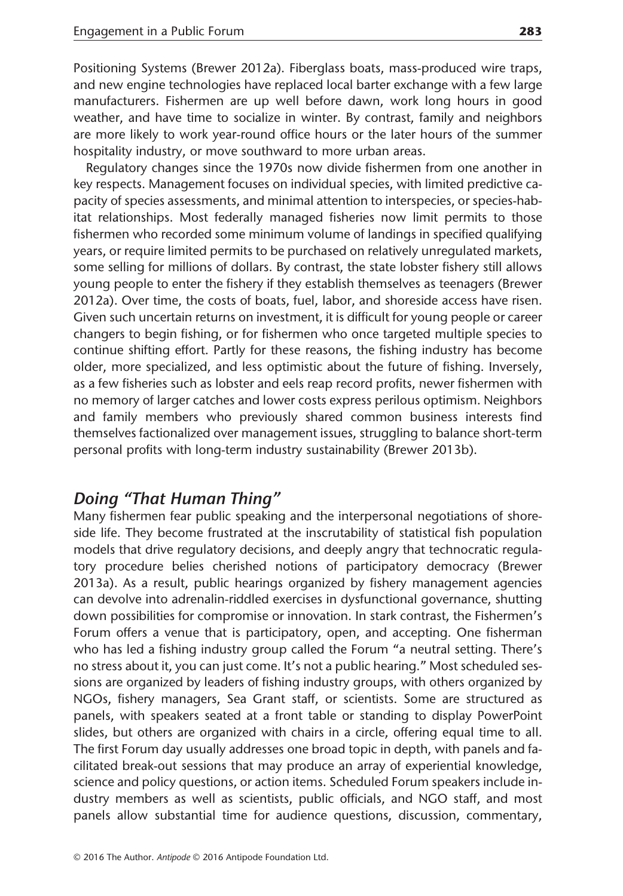Positioning Systems (Brewer 2012a). Fiberglass boats, mass-produced wire traps, and new engine technologies have replaced local barter exchange with a few large manufacturers. Fishermen are up well before dawn, work long hours in good weather, and have time to socialize in winter. By contrast, family and neighbors are more likely to work year-round office hours or the later hours of the summer hospitality industry, or move southward to more urban areas.

Regulatory changes since the 1970s now divide fishermen from one another in key respects. Management focuses on individual species, with limited predictive capacity of species assessments, and minimal attention to interspecies, or species-habitat relationships. Most federally managed fisheries now limit permits to those fishermen who recorded some minimum volume of landings in specified qualifying years, or require limited permits to be purchased on relatively unregulated markets, some selling for millions of dollars. By contrast, the state lobster fishery still allows young people to enter the fishery if they establish themselves as teenagers (Brewer 2012a). Over time, the costs of boats, fuel, labor, and shoreside access have risen. Given such uncertain returns on investment, it is difficult for young people or career changers to begin fishing, or for fishermen who once targeted multiple species to continue shifting effort. Partly for these reasons, the fishing industry has become older, more specialized, and less optimistic about the future of fishing. Inversely, as a few fisheries such as lobster and eels reap record profits, newer fishermen with no memory of larger catches and lower costs express perilous optimism. Neighbors and family members who previously shared common business interests find themselves factionalized over management issues, struggling to balance short-term personal profits with long-term industry sustainability (Brewer 2013b).

#### Doing "That Human Thing"

Many fishermen fear public speaking and the interpersonal negotiations of shoreside life. They become frustrated at the inscrutability of statistical fish population models that drive regulatory decisions, and deeply angry that technocratic regulatory procedure belies cherished notions of participatory democracy (Brewer 2013a). As a result, public hearings organized by fishery management agencies can devolve into adrenalin-riddled exercises in dysfunctional governance, shutting down possibilities for compromise or innovation. In stark contrast, the Fishermen's Forum offers a venue that is participatory, open, and accepting. One fisherman who has led a fishing industry group called the Forum "a neutral setting. There's no stress about it, you can just come. It's not a public hearing." Most scheduled sessions are organized by leaders of fishing industry groups, with others organized by NGOs, fishery managers, Sea Grant staff, or scientists. Some are structured as panels, with speakers seated at a front table or standing to display PowerPoint slides, but others are organized with chairs in a circle, offering equal time to all. The first Forum day usually addresses one broad topic in depth, with panels and facilitated break-out sessions that may produce an array of experiential knowledge, science and policy questions, or action items. Scheduled Forum speakers include industry members as well as scientists, public officials, and NGO staff, and most panels allow substantial time for audience questions, discussion, commentary,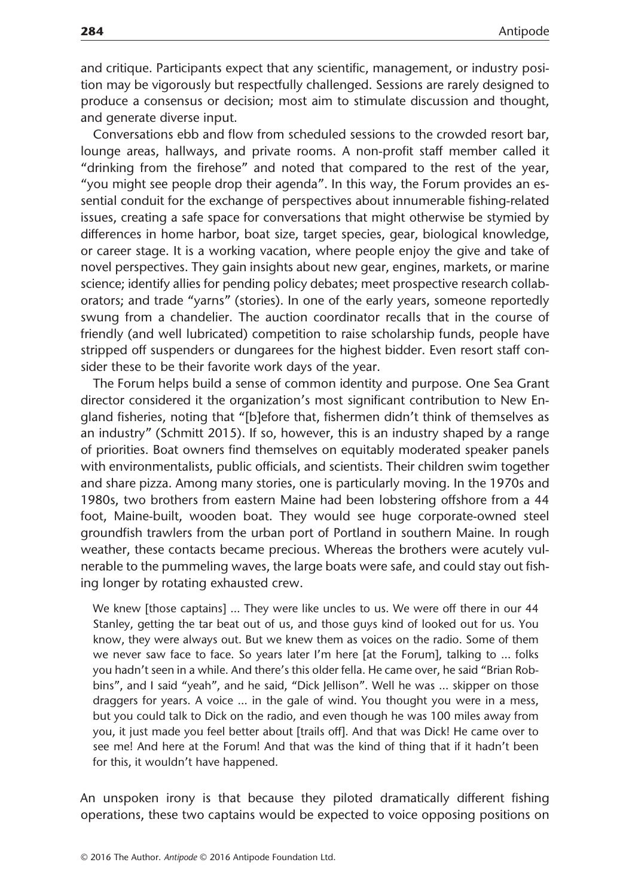and critique. Participants expect that any scientific, management, or industry position may be vigorously but respectfully challenged. Sessions are rarely designed to produce a consensus or decision; most aim to stimulate discussion and thought, and generate diverse input.

Conversations ebb and flow from scheduled sessions to the crowded resort bar, lounge areas, hallways, and private rooms. A non-profit staff member called it "drinking from the firehose" and noted that compared to the rest of the year, "you might see people drop their agenda". In this way, the Forum provides an essential conduit for the exchange of perspectives about innumerable fishing-related issues, creating a safe space for conversations that might otherwise be stymied by differences in home harbor, boat size, target species, gear, biological knowledge, or career stage. It is a working vacation, where people enjoy the give and take of novel perspectives. They gain insights about new gear, engines, markets, or marine science; identify allies for pending policy debates; meet prospective research collaborators; and trade "yarns" (stories). In one of the early years, someone reportedly swung from a chandelier. The auction coordinator recalls that in the course of friendly (and well lubricated) competition to raise scholarship funds, people have stripped off suspenders or dungarees for the highest bidder. Even resort staff consider these to be their favorite work days of the year.

The Forum helps build a sense of common identity and purpose. One Sea Grant director considered it the organization's most significant contribution to New England fisheries, noting that "[b]efore that, fishermen didn't think of themselves as an industry" (Schmitt 2015). If so, however, this is an industry shaped by a range of priorities. Boat owners find themselves on equitably moderated speaker panels with environmentalists, public officials, and scientists. Their children swim together and share pizza. Among many stories, one is particularly moving. In the 1970s and 1980s, two brothers from eastern Maine had been lobstering offshore from a 44 foot, Maine-built, wooden boat. They would see huge corporate-owned steel groundfish trawlers from the urban port of Portland in southern Maine. In rough weather, these contacts became precious. Whereas the brothers were acutely vulnerable to the pummeling waves, the large boats were safe, and could stay out fishing longer by rotating exhausted crew.

We knew [those captains] … They were like uncles to us. We were off there in our 44 Stanley, getting the tar beat out of us, and those guys kind of looked out for us. You know, they were always out. But we knew them as voices on the radio. Some of them we never saw face to face. So years later I'm here [at the Forum], talking to … folks you hadn't seen in a while. And there's this older fella. He came over, he said "Brian Robbins", and I said "yeah", and he said, "Dick Jellison". Well he was … skipper on those draggers for years. A voice … in the gale of wind. You thought you were in a mess, but you could talk to Dick on the radio, and even though he was 100 miles away from you, it just made you feel better about [trails off]. And that was Dick! He came over to see me! And here at the Forum! And that was the kind of thing that if it hadn't been for this, it wouldn't have happened.

An unspoken irony is that because they piloted dramatically different fishing operations, these two captains would be expected to voice opposing positions on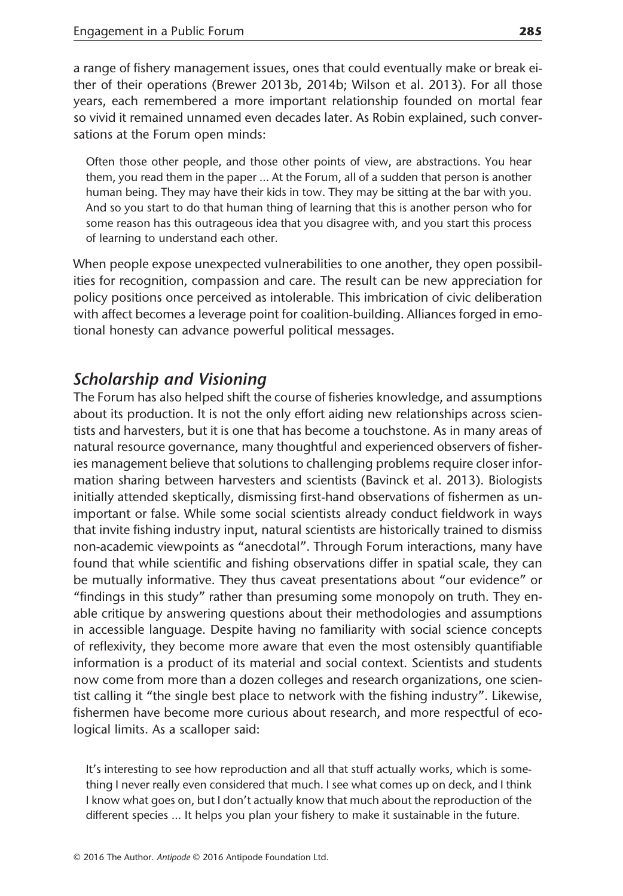a range of fishery management issues, ones that could eventually make or break either of their operations (Brewer 2013b, 2014b; Wilson et al. 2013). For all those years, each remembered a more important relationship founded on mortal fear so vivid it remained unnamed even decades later. As Robin explained, such conversations at the Forum open minds:

Often those other people, and those other points of view, are abstractions. You hear them, you read them in the paper … At the Forum, all of a sudden that person is another human being. They may have their kids in tow. They may be sitting at the bar with you. And so you start to do that human thing of learning that this is another person who for some reason has this outrageous idea that you disagree with, and you start this process of learning to understand each other.

When people expose unexpected vulnerabilities to one another, they open possibilities for recognition, compassion and care. The result can be new appreciation for policy positions once perceived as intolerable. This imbrication of civic deliberation with affect becomes a leverage point for coalition-building. Alliances forged in emotional honesty can advance powerful political messages.

### Scholarship and Visioning

The Forum has also helped shift the course of fisheries knowledge, and assumptions about its production. It is not the only effort aiding new relationships across scientists and harvesters, but it is one that has become a touchstone. As in many areas of natural resource governance, many thoughtful and experienced observers of fisheries management believe that solutions to challenging problems require closer information sharing between harvesters and scientists (Bavinck et al. 2013). Biologists initially attended skeptically, dismissing first-hand observations of fishermen as unimportant or false. While some social scientists already conduct fieldwork in ways that invite fishing industry input, natural scientists are historically trained to dismiss non-academic viewpoints as "anecdotal". Through Forum interactions, many have found that while scientific and fishing observations differ in spatial scale, they can be mutually informative. They thus caveat presentations about "our evidence" or "findings in this study" rather than presuming some monopoly on truth. They enable critique by answering questions about their methodologies and assumptions in accessible language. Despite having no familiarity with social science concepts of reflexivity, they become more aware that even the most ostensibly quantifiable information is a product of its material and social context. Scientists and students now come from more than a dozen colleges and research organizations, one scientist calling it "the single best place to network with the fishing industry". Likewise, fishermen have become more curious about research, and more respectful of ecological limits. As a scalloper said:

It's interesting to see how reproduction and all that stuff actually works, which is something I never really even considered that much. I see what comes up on deck, and I think I know what goes on, but I don't actually know that much about the reproduction of the different species … It helps you plan your fishery to make it sustainable in the future.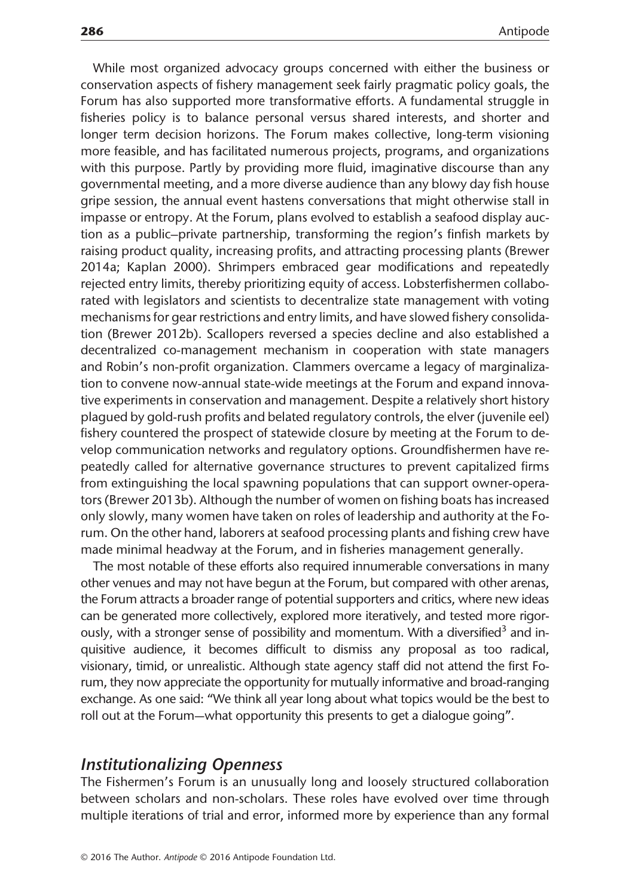While most organized advocacy groups concerned with either the business or conservation aspects of fishery management seek fairly pragmatic policy goals, the Forum has also supported more transformative efforts. A fundamental struggle in fisheries policy is to balance personal versus shared interests, and shorter and longer term decision horizons. The Forum makes collective, long-term visioning more feasible, and has facilitated numerous projects, programs, and organizations with this purpose. Partly by providing more fluid, imaginative discourse than any governmental meeting, and a more diverse audience than any blowy day fish house gripe session, the annual event hastens conversations that might otherwise stall in impasse or entropy. At the Forum, plans evolved to establish a seafood display auction as a public–private partnership, transforming the region's finfish markets by raising product quality, increasing profits, and attracting processing plants (Brewer 2014a; Kaplan 2000). Shrimpers embraced gear modifications and repeatedly rejected entry limits, thereby prioritizing equity of access. Lobsterfishermen collaborated with legislators and scientists to decentralize state management with voting mechanisms for gear restrictions and entry limits, and have slowed fishery consolidation (Brewer 2012b). Scallopers reversed a species decline and also established a decentralized co-management mechanism in cooperation with state managers and Robin's non-profit organization. Clammers overcame a legacy of marginalization to convene now-annual state-wide meetings at the Forum and expand innovative experiments in conservation and management. Despite a relatively short history plagued by gold-rush profits and belated regulatory controls, the elver (juvenile eel) fishery countered the prospect of statewide closure by meeting at the Forum to develop communication networks and regulatory options. Groundfishermen have repeatedly called for alternative governance structures to prevent capitalized firms from extinguishing the local spawning populations that can support owner-operators (Brewer 2013b). Although the number of women on fishing boats has increased only slowly, many women have taken on roles of leadership and authority at the Forum. On the other hand, laborers at seafood processing plants and fishing crew have made minimal headway at the Forum, and in fisheries management generally.

The most notable of these efforts also required innumerable conversations in many other venues and may not have begun at the Forum, but compared with other arenas, the Forum attracts a broader range of potential supporters and critics, where new ideas can be generated more collectively, explored more iteratively, and tested more rigorously, with a stronger sense of possibility and momentum. With a diversified<sup>3</sup> and inquisitive audience, it becomes difficult to dismiss any proposal as too radical, visionary, timid, or unrealistic. Although state agency staff did not attend the first Forum, they now appreciate the opportunity for mutually informative and broad-ranging exchange. As one said: "We think all year long about what topics would be the best to roll out at the Forum—what opportunity this presents to get a dialogue going".

#### Institutionalizing Openness

The Fishermen's Forum is an unusually long and loosely structured collaboration between scholars and non-scholars. These roles have evolved over time through multiple iterations of trial and error, informed more by experience than any formal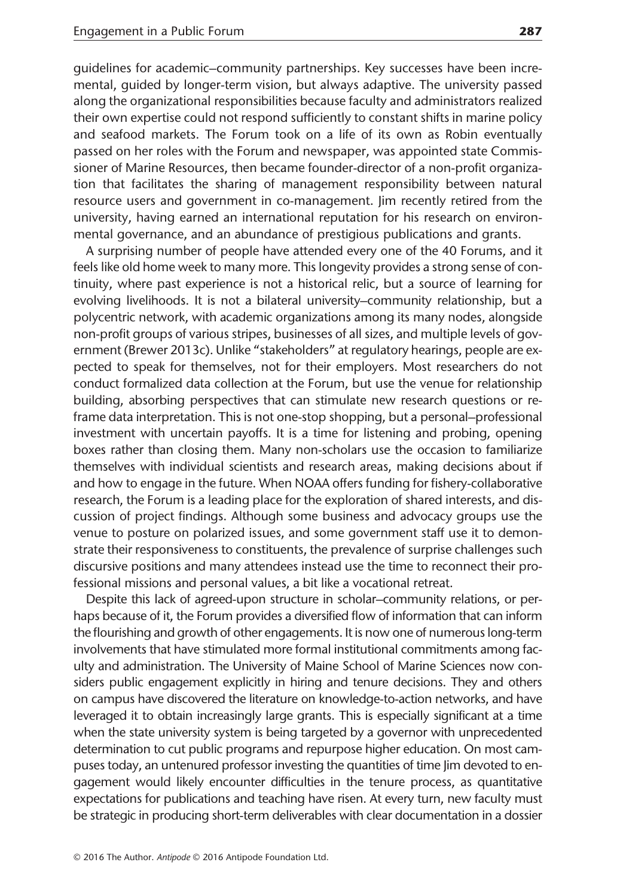guidelines for academic–community partnerships. Key successes have been incremental, guided by longer-term vision, but always adaptive. The university passed along the organizational responsibilities because faculty and administrators realized their own expertise could not respond sufficiently to constant shifts in marine policy and seafood markets. The Forum took on a life of its own as Robin eventually passed on her roles with the Forum and newspaper, was appointed state Commissioner of Marine Resources, then became founder-director of a non-profit organization that facilitates the sharing of management responsibility between natural resource users and government in co-management. Jim recently retired from the university, having earned an international reputation for his research on environ-

mental governance, and an abundance of prestigious publications and grants. A surprising number of people have attended every one of the 40 Forums, and it feels like old home week to many more. This longevity provides a strong sense of continuity, where past experience is not a historical relic, but a source of learning for evolving livelihoods. It is not a bilateral university–community relationship, but a polycentric network, with academic organizations among its many nodes, alongside non-profit groups of various stripes, businesses of all sizes, and multiple levels of government (Brewer 2013c). Unlike "stakeholders" at regulatory hearings, people are expected to speak for themselves, not for their employers. Most researchers do not conduct formalized data collection at the Forum, but use the venue for relationship building, absorbing perspectives that can stimulate new research questions or reframe data interpretation. This is not one-stop shopping, but a personal–professional investment with uncertain payoffs. It is a time for listening and probing, opening boxes rather than closing them. Many non-scholars use the occasion to familiarize themselves with individual scientists and research areas, making decisions about if and how to engage in the future. When NOAA offers funding for fishery-collaborative research, the Forum is a leading place for the exploration of shared interests, and discussion of project findings. Although some business and advocacy groups use the venue to posture on polarized issues, and some government staff use it to demonstrate their responsiveness to constituents, the prevalence of surprise challenges such discursive positions and many attendees instead use the time to reconnect their professional missions and personal values, a bit like a vocational retreat.

Despite this lack of agreed-upon structure in scholar–community relations, or perhaps because of it, the Forum provides a diversified flow of information that can inform the flourishing and growth of other engagements. It is now one of numerous long-term involvements that have stimulated more formal institutional commitments among faculty and administration. The University of Maine School of Marine Sciences now considers public engagement explicitly in hiring and tenure decisions. They and others on campus have discovered the literature on knowledge-to-action networks, and have leveraged it to obtain increasingly large grants. This is especially significant at a time when the state university system is being targeted by a governor with unprecedented determination to cut public programs and repurpose higher education. On most campuses today, an untenured professor investing the quantities of time Jim devoted to engagement would likely encounter difficulties in the tenure process, as quantitative expectations for publications and teaching have risen. At every turn, new faculty must be strategic in producing short-term deliverables with clear documentation in a dossier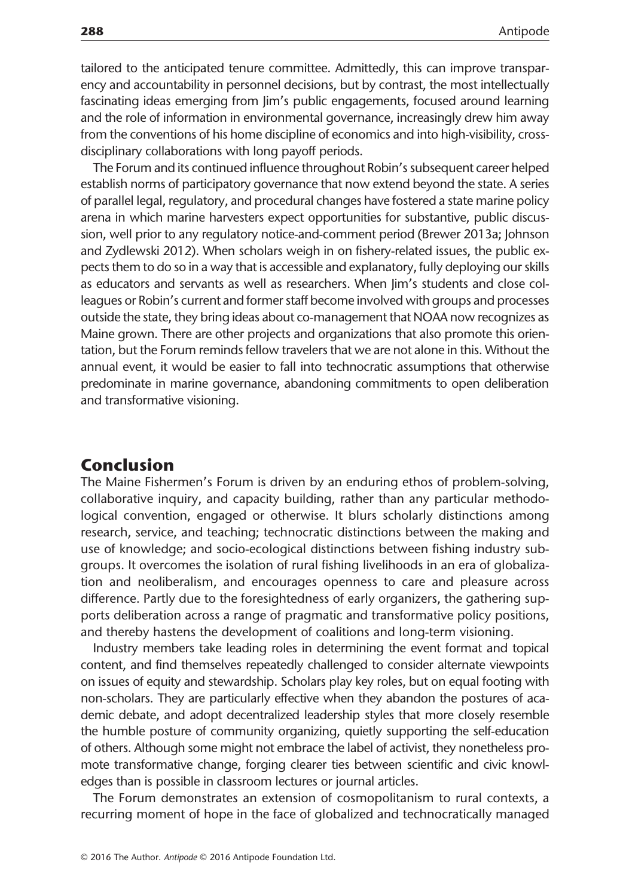tailored to the anticipated tenure committee. Admittedly, this can improve transparency and accountability in personnel decisions, but by contrast, the most intellectually fascinating ideas emerging from Jim's public engagements, focused around learning and the role of information in environmental governance, increasingly drew him away from the conventions of his home discipline of economics and into high-visibility, crossdisciplinary collaborations with long payoff periods.

The Forum and its continued influence throughout Robin's subsequent career helped establish norms of participatory governance that now extend beyond the state. A series of parallel legal, regulatory, and procedural changes have fostered a state marine policy arena in which marine harvesters expect opportunities for substantive, public discussion, well prior to any regulatory notice-and-comment period (Brewer 2013a; Johnson and Zydlewski 2012). When scholars weigh in on fishery-related issues, the public expects them to do so in a way that is accessible and explanatory, fully deploying our skills as educators and servants as well as researchers. When Jim's students and close colleagues or Robin's current and former staff become involved with groups and processes outside the state, they bring ideas about co-management that NOAA now recognizes as Maine grown. There are other projects and organizations that also promote this orientation, but the Forum reminds fellow travelers that we are not alone in this. Without the annual event, it would be easier to fall into technocratic assumptions that otherwise predominate in marine governance, abandoning commitments to open deliberation and transformative visioning.

#### Conclusion

The Maine Fishermen's Forum is driven by an enduring ethos of problem-solving, collaborative inquiry, and capacity building, rather than any particular methodological convention, engaged or otherwise. It blurs scholarly distinctions among research, service, and teaching; technocratic distinctions between the making and use of knowledge; and socio-ecological distinctions between fishing industry subgroups. It overcomes the isolation of rural fishing livelihoods in an era of globalization and neoliberalism, and encourages openness to care and pleasure across difference. Partly due to the foresightedness of early organizers, the gathering supports deliberation across a range of pragmatic and transformative policy positions, and thereby hastens the development of coalitions and long-term visioning.

Industry members take leading roles in determining the event format and topical content, and find themselves repeatedly challenged to consider alternate viewpoints on issues of equity and stewardship. Scholars play key roles, but on equal footing with non-scholars. They are particularly effective when they abandon the postures of academic debate, and adopt decentralized leadership styles that more closely resemble the humble posture of community organizing, quietly supporting the self-education of others. Although some might not embrace the label of activist, they nonetheless promote transformative change, forging clearer ties between scientific and civic knowledges than is possible in classroom lectures or journal articles.

The Forum demonstrates an extension of cosmopolitanism to rural contexts, a recurring moment of hope in the face of globalized and technocratically managed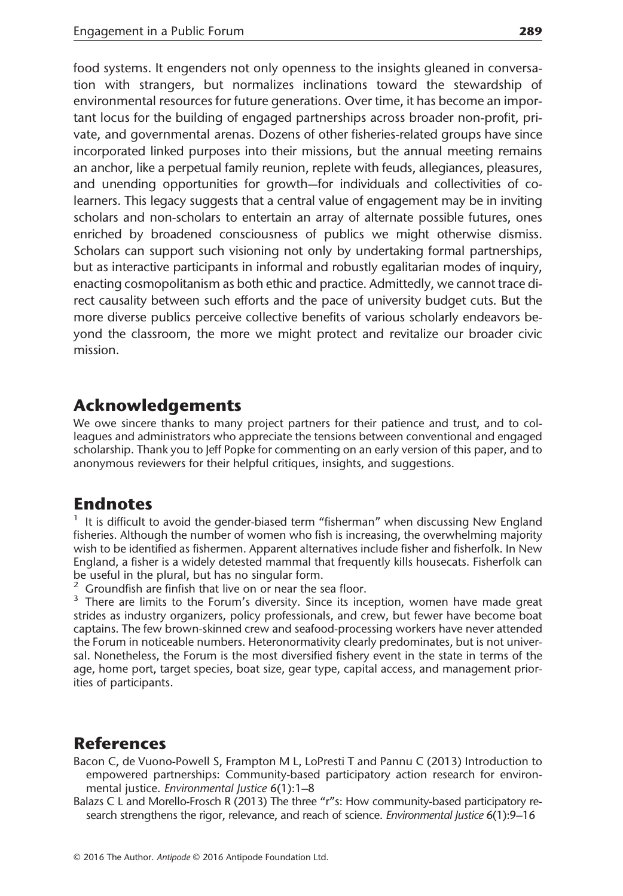food systems. It engenders not only openness to the insights gleaned in conversation with strangers, but normalizes inclinations toward the stewardship of environmental resources for future generations. Over time, it has become an important locus for the building of engaged partnerships across broader non-profit, private, and governmental arenas. Dozens of other fisheries-related groups have since incorporated linked purposes into their missions, but the annual meeting remains an anchor, like a perpetual family reunion, replete with feuds, allegiances, pleasures, and unending opportunities for growth—for individuals and collectivities of colearners. This legacy suggests that a central value of engagement may be in inviting scholars and non-scholars to entertain an array of alternate possible futures, ones enriched by broadened consciousness of publics we might otherwise dismiss. Scholars can support such visioning not only by undertaking formal partnerships, but as interactive participants in informal and robustly egalitarian modes of inquiry, enacting cosmopolitanism as both ethic and practice. Admittedly, we cannot trace direct causality between such efforts and the pace of university budget cuts. But the more diverse publics perceive collective benefits of various scholarly endeavors beyond the classroom, the more we might protect and revitalize our broader civic mission.

### Acknowledgements

We owe sincere thanks to many project partners for their patience and trust, and to colleagues and administrators who appreciate the tensions between conventional and engaged scholarship. Thank you to Jeff Popke for commenting on an early version of this paper, and to anonymous reviewers for their helpful critiques, insights, and suggestions.

### Endnotes

 $1$  It is difficult to avoid the gender-biased term "fisherman" when discussing New England fisheries. Although the number of women who fish is increasing, the overwhelming majority wish to be identified as fishermen. Apparent alternatives include fisher and fisherfolk. In New England, a fisher is a widely detested mammal that frequently kills housecats. Fisherfolk can be useful in the plural, but has no singular form.<br><sup>2</sup> Groundfish are finfish that live on or near the sea floor.

 $3$  There are limits to the Forum's diversity. Since its inception, women have made great strides as industry organizers, policy professionals, and crew, but fewer have become boat captains. The few brown-skinned crew and seafood-processing workers have never attended the Forum in noticeable numbers. Heteronormativity clearly predominates, but is not universal. Nonetheless, the Forum is the most diversified fishery event in the state in terms of the age, home port, target species, boat size, gear type, capital access, and management priorities of participants.

#### References

- Bacon C, de Vuono-Powell S, Frampton M L, LoPresti T and Pannu C (2013) Introduction to empowered partnerships: Community-based participatory action research for environmental justice. Environmental Justice 6(1):1–8
- Balazs C L and Morello-Frosch R (2013) The three "r"s: How community-based participatory research strengthens the rigor, relevance, and reach of science. *Environmental Justice* 6(1):9–16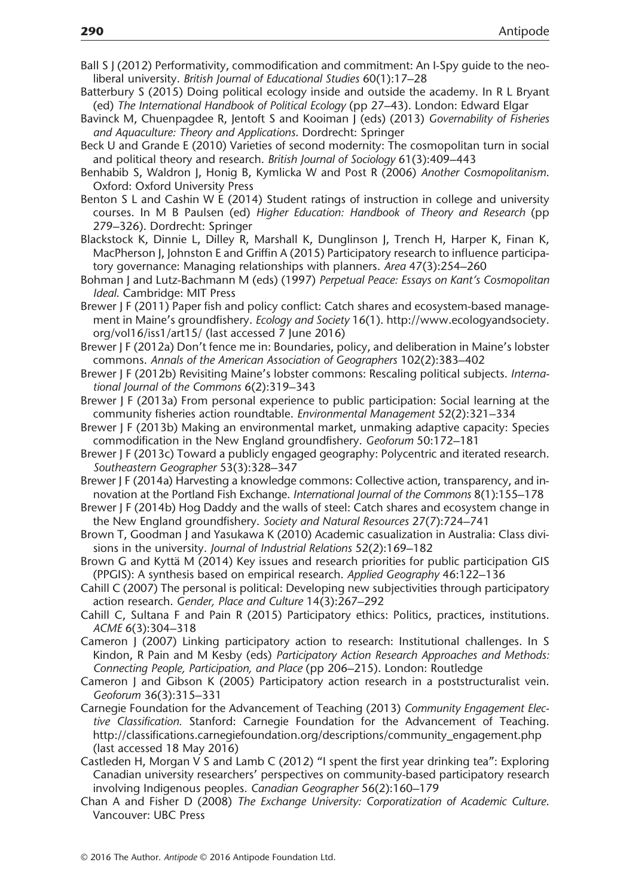- Ball S J (2012) Performativity, commodification and commitment: An I-Spy quide to the neoliberal university. British Journal of Educational Studies 60(1):17–28
- Batterbury S (2015) Doing political ecology inside and outside the academy. In R L Bryant (ed) The International Handbook of Political Ecology (pp 27–43). London: Edward Elgar
- Bavinck M, Chuenpagdee R, Jentoft S and Kooiman J (eds) (2013) Governability of Fisheries and Aquaculture: Theory and Applications. Dordrecht: Springer
- Beck U and Grande E (2010) Varieties of second modernity: The cosmopolitan turn in social and political theory and research. British Journal of Sociology 61(3):409–443
- Benhabib S, Waldron J, Honig B, Kymlicka W and Post R (2006) Another Cosmopolitanism. Oxford: Oxford University Press
- Benton S L and Cashin W E (2014) Student ratings of instruction in college and university courses. In M B Paulsen (ed) Higher Education: Handbook of Theory and Research (pp 279–326). Dordrecht: Springer
- Blackstock K, Dinnie L, Dilley R, Marshall K, Dunglinson J, Trench H, Harper K, Finan K, MacPherson J, Johnston E and Griffin A (2015) Participatory research to influence participatory governance: Managing relationships with planners. Area 47(3):254–260
- Bohman J and Lutz-Bachmann M (eds) (1997) Perpetual Peace: Essays on Kant's Cosmopolitan Ideal. Cambridge: MIT Press
- Brewer J F (2011) Paper fish and policy conflict: Catch shares and ecosystem-based management in Maine's groundfishery. Ecology and Society 16(1). [http://www.ecologyandsociety.](http://www.ecologyandsociety.org/vol16/iss1/art15/) [org/vol16/iss1/art15/](http://www.ecologyandsociety.org/vol16/iss1/art15/) (last accessed 7 June 2016)
- Brewer J F (2012a) Don't fence me in: Boundaries, policy, and deliberation in Maine's lobster commons. Annals of the American Association of Geographers 102(2):383–402
- Brewer J F (2012b) Revisiting Maine's lobster commons: Rescaling political subjects. International Journal of the Commons 6(2):319–343
- Brewer J F (2013a) From personal experience to public participation: Social learning at the community fisheries action roundtable. Environmental Management 52(2):321–334
- Brewer J F (2013b) Making an environmental market, unmaking adaptive capacity: Species commodification in the New England groundfishery. Geoforum 50:172–181
- Brewer J F (2013c) Toward a publicly engaged geography: Polycentric and iterated research. Southeastern Geographer 53(3):328–347
- Brewer J F (2014a) Harvesting a knowledge commons: Collective action, transparency, and innovation at the Portland Fish Exchange. International Journal of the Commons 8(1):155–178
- Brewer J F (2014b) Hog Daddy and the walls of steel: Catch shares and ecosystem change in the New England groundfishery. Society and Natural Resources 27(7):724–741
- Brown T, Goodman J and Yasukawa K (2010) Academic casualization in Australia: Class divisions in the university. Journal of Industrial Relations 52(2):169–182
- Brown G and Kyttä M (2014) Key issues and research priorities for public participation GIS (PPGIS): A synthesis based on empirical research. Applied Geography 46:122–136
- Cahill C (2007) The personal is political: Developing new subjectivities through participatory action research. Gender, Place and Culture 14(3):267–292
- Cahill C, Sultana F and Pain R (2015) Participatory ethics: Politics, practices, institutions. ACME 6(3):304–318
- Cameron J (2007) Linking participatory action to research: Institutional challenges. In S Kindon, R Pain and M Kesby (eds) Participatory Action Research Approaches and Methods: Connecting People, Participation, and Place (pp 206–215). London: Routledge
- Cameron J and Gibson K (2005) Participatory action research in a poststructuralist vein. Geoforum 36(3):315–331
- Carnegie Foundation for the Advancement of Teaching (2013) Community Engagement Elective Classification. Stanford: Carnegie Foundation for the Advancement of Teaching. [http://classifications.carnegiefoundation.org/descriptions/community\\_engagement.php](http://classifications.carnegiefoundation.org/descriptions/community_engagement.php) (last accessed 18 May 2016)
- Castleden H, Morgan V S and Lamb C (2012) "I spent the first year drinking tea": Exploring Canadian university researchers' perspectives on community-based participatory research involving Indigenous peoples. Canadian Geographer 56(2):160–179
- Chan A and Fisher D (2008) The Exchange University: Corporatization of Academic Culture. Vancouver: UBC Press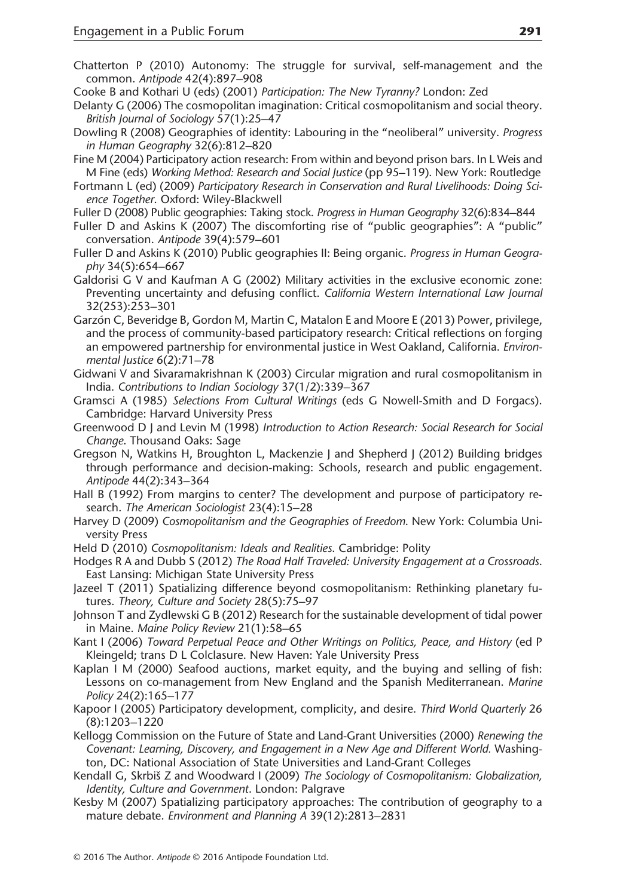- Chatterton P (2010) Autonomy: The struggle for survival, self-management and the common. Antipode 42(4):897–908
- Cooke B and Kothari U (eds) (2001) Participation: The New Tyranny? London: Zed
- Delanty G (2006) The cosmopolitan imagination: Critical cosmopolitanism and social theory. British Journal of Sociology 57(1):25–47
- Dowling R (2008) Geographies of identity: Labouring in the "neoliberal" university. Progress in Human Geography 32(6):812–820
- Fine M (2004) Participatory action research: From within and beyond prison bars. In L Weis and M Fine (eds) Working Method: Research and Social Justice (pp 95–119). New York: Routledge
- Fortmann L (ed) (2009) Participatory Research in Conservation and Rural Livelihoods: Doing Science Together. Oxford: Wiley-Blackwell
- Fuller D (2008) Public geographies: Taking stock. Progress in Human Geography 32(6):834–844
- Fuller D and Askins K (2007) The discomforting rise of "public geographies": A "public" conversation. Antipode 39(4):579–601
- Fuller D and Askins K (2010) Public geographies II: Being organic. Progress in Human Geography 34(5):654–667
- Galdorisi G V and Kaufman A G (2002) Military activities in the exclusive economic zone: Preventing uncertainty and defusing conflict. California Western International Law Journal 32(253):253–301
- Garzón C, Beveridge B, Gordon M, Martin C, Matalon E and Moore E (2013) Power, privilege, and the process of community-based participatory research: Critical reflections on forging an empowered partnership for environmental justice in West Oakland, California. Environmental Justice 6(2):71–78
- Gidwani V and Sivaramakrishnan K (2003) Circular migration and rural cosmopolitanism in India. Contributions to Indian Sociology 37(1/2):339–367
- Gramsci A (1985) Selections From Cultural Writings (eds G Nowell-Smith and D Forgacs). Cambridge: Harvard University Press
- Greenwood D J and Levin M (1998) Introduction to Action Research: Social Research for Social Change. Thousand Oaks: Sage
- Gregson N, Watkins H, Broughton L, Mackenzie J and Shepherd J (2012) Building bridges through performance and decision-making: Schools, research and public engagement. Antipode 44(2):343–364
- Hall B (1992) From margins to center? The development and purpose of participatory research. The American Sociologist 23(4):15–28
- Harvey D (2009) Cosmopolitanism and the Geographies of Freedom. New York: Columbia University Press
- Held D (2010) Cosmopolitanism: Ideals and Realities. Cambridge: Polity
- Hodges R A and Dubb S (2012) The Road Half Traveled: University Engagement at a Crossroads. East Lansing: Michigan State University Press
- Jazeel T (2011) Spatializing difference beyond cosmopolitanism: Rethinking planetary futures. Theory, Culture and Society 28(5):75–97
- Johnson T and Zydlewski G B (2012) Research for the sustainable development of tidal power in Maine. Maine Policy Review 21(1):58–65
- Kant I (2006) Toward Perpetual Peace and Other Writings on Politics, Peace, and History (ed P Kleingeld; trans D L Colclasure. New Haven: Yale University Press
- Kaplan I M (2000) Seafood auctions, market equity, and the buying and selling of fish: Lessons on co-management from New England and the Spanish Mediterranean. Marine Policy 24(2):165–177
- Kapoor I (2005) Participatory development, complicity, and desire. Third World Quarterly 26 (8):1203–1220
- Kellogg Commission on the Future of State and Land-Grant Universities (2000) Renewing the Covenant: Learning, Discovery, and Engagement in a New Age and Different World. Washington, DC: National Association of State Universities and Land-Grant Colleges
- Kendall G, Skrbiš Z and Woodward I (2009) The Sociology of Cosmopolitanism: Globalization, Identity, Culture and Government. London: Palgrave
- Kesby M (2007) Spatializing participatory approaches: The contribution of geography to a mature debate. Environment and Planning A 39(12):2813–2831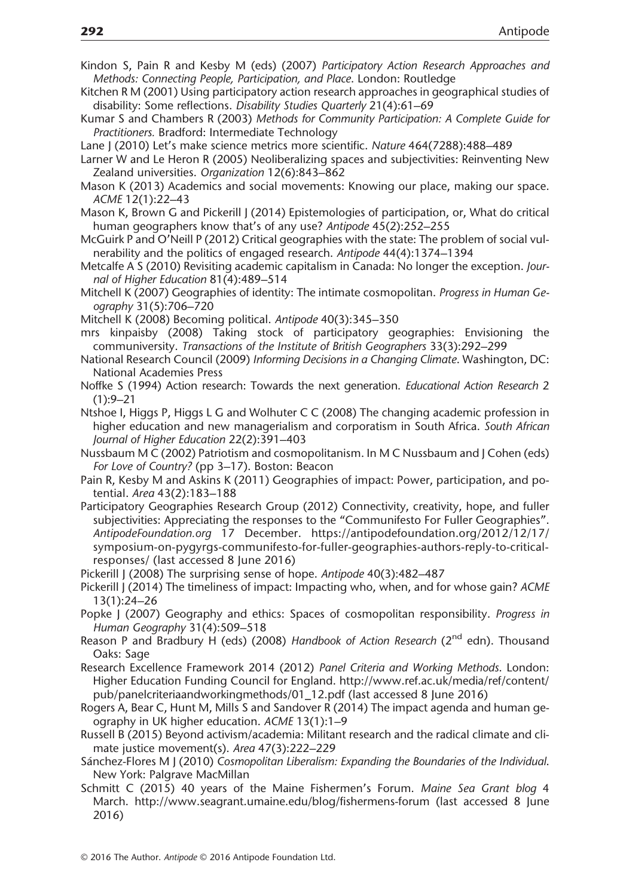- Kindon S, Pain R and Kesby M (eds) (2007) Participatory Action Research Approaches and Methods: Connecting People, Participation, and Place. London: Routledge
- Kitchen R M (2001) Using participatory action research approaches in geographical studies of disability: Some reflections. Disability Studies Quarterly 21(4):61–69
- Kumar S and Chambers R (2003) Methods for Community Participation: A Complete Guide for Practitioners. Bradford: Intermediate Technology
- Lane J (2010) Let's make science metrics more scientific. Nature 464(7288):488-489
- Larner W and Le Heron R (2005) Neoliberalizing spaces and subjectivities: Reinventing New Zealand universities. Organization 12(6):843–862
- Mason K (2013) Academics and social movements: Knowing our place, making our space. ACME 12(1):22–43
- Mason K, Brown G and Pickerill J (2014) Epistemologies of participation, or, What do critical human geographers know that's of any use? Antipode 45(2):252–255
- McGuirk P and O'Neill P (2012) Critical geographies with the state: The problem of social vulnerability and the politics of engaged research. Antipode 44(4):1374–1394
- Metcalfe A S (2010) Revisiting academic capitalism in Canada: No longer the exception. Journal of Higher Education 81(4):489–514
- Mitchell K (2007) Geographies of identity: The intimate cosmopolitan. Progress in Human Geography 31(5):706–720
- Mitchell K (2008) Becoming political. Antipode 40(3):345–350
- mrs kinpaisby (2008) Taking stock of participatory geographies: Envisioning the communiversity. Transactions of the Institute of British Geographers 33(3):292–299
- National Research Council (2009) Informing Decisions in a Changing Climate. Washington, DC: National Academies Press
- Noffke S (1994) Action research: Towards the next generation. Educational Action Research 2  $(1):9-21$
- Ntshoe I, Higgs P, Higgs L G and Wolhuter C C (2008) The changing academic profession in higher education and new managerialism and corporatism in South Africa. South African Journal of Higher Education 22(2):391–403
- Nussbaum M C (2002) Patriotism and cosmopolitanism. In M C Nussbaum and J Cohen (eds) For Love of Country? (pp 3–17). Boston: Beacon
- Pain R, Kesby M and Askins K (2011) Geographies of impact: Power, participation, and potential. Area 43(2):183–188
- Participatory Geographies Research Group (2012) Connectivity, creativity, hope, and fuller subjectivities: Appreciating the responses to the "Communifesto For Fuller Geographies". AntipodeFoundation.org 17 December. [https://antipodefoundation.org/2012/12/17/](https://antipodefoundation.org/2012/12/17/symposium-on-pygyrgs-communifesto-for-fuller-geographies-authors-reply-to-critical-responses/) [symposium-on-pygyrgs-communifesto-for-fuller-geographies-authors-reply-to-critical](https://antipodefoundation.org/2012/12/17/symposium-on-pygyrgs-communifesto-for-fuller-geographies-authors-reply-to-critical-responses/)[responses/](https://antipodefoundation.org/2012/12/17/symposium-on-pygyrgs-communifesto-for-fuller-geographies-authors-reply-to-critical-responses/) (last accessed 8 June 2016)
- Pickerill J (2008) The surprising sense of hope. Antipode 40(3):482-487
- Pickerill J (2014) The timeliness of impact: Impacting who, when, and for whose gain? ACME 13(1):24–26
- Popke J (2007) Geography and ethics: Spaces of cosmopolitan responsibility. Progress in Human Geography 31(4):509–518
- Reason P and Bradbury H (eds) (2008) Handbook of Action Research (2<sup>nd</sup> edn). Thousand Oaks: Sage
- Research Excellence Framework 2014 (2012) Panel Criteria and Working Methods. London: Higher Education Funding Council for England. [http://www.ref.ac.uk/media/ref/content/](http://www.ref.ac.uk/media/ref/content/pub/panelcriteriaandworkingmethods/01_12.pdf) [pub/panelcriteriaandworkingmethods/01\\_12.pdf](http://www.ref.ac.uk/media/ref/content/pub/panelcriteriaandworkingmethods/01_12.pdf) (last accessed 8 June 2016)
- Rogers A, Bear C, Hunt M, Mills S and Sandover R (2014) The impact agenda and human geography in UK higher education. ACME 13(1):1–9
- Russell B (2015) Beyond activism/academia: Militant research and the radical climate and climate justice movement(s). Area 47(3):222–229
- Sánchez-Flores M J (2010) Cosmopolitan Liberalism: Expanding the Boundaries of the Individual. New York: Palgrave MacMillan
- Schmitt C (2015) 40 years of the Maine Fishermen's Forum. Maine Sea Grant blog 4 March.<http://www.seagrant.umaine.edu/blog/fishermens-forum> (last accessed 8 June 2016)